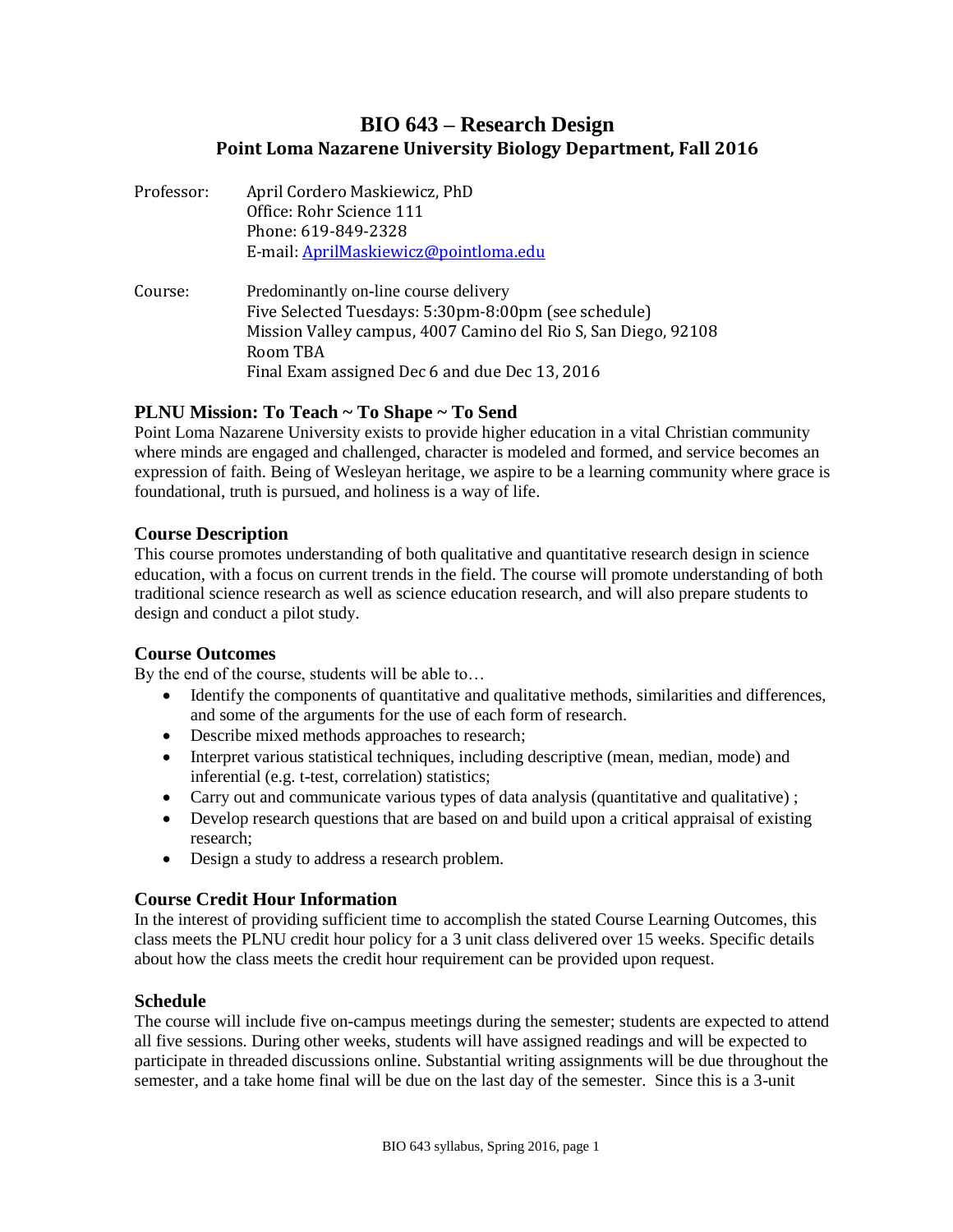# **BIO 643 – Research Design Point Loma Nazarene University Biology Department, Fall 2016**

- Professor: April Cordero Maskiewicz, PhD Office: Rohr Science 111 Phone: 619-849-2328 E-mail[: AprilMaskiewicz@pointloma.edu](mailto:AprilMaskiewicz@pointloma.edu)
- Course: Predominantly on-line course delivery Five Selected Tuesdays: 5:30pm-8:00pm (see schedule) Mission Valley campus, 4007 Camino del Rio S, San Diego, 92108 Room TBA Final Exam assigned Dec 6 and due Dec 13, 2016

## **PLNU Mission: To Teach ~ To Shape ~ To Send**

Point Loma Nazarene University exists to provide higher education in a vital Christian community where minds are engaged and challenged, character is modeled and formed, and service becomes an expression of faith. Being of Wesleyan heritage, we aspire to be a learning community where grace is foundational, truth is pursued, and holiness is a way of life.

## **Course Description**

This course promotes understanding of both qualitative and quantitative research design in science education, with a focus on current trends in the field. The course will promote understanding of both traditional science research as well as science education research, and will also prepare students to design and conduct a pilot study.

#### **Course Outcomes**

By the end of the course, students will be able to…

- Identify the components of quantitative and qualitative methods, similarities and differences, and some of the arguments for the use of each form of research.
- Describe mixed methods approaches to research;
- Interpret various statistical techniques, including descriptive (mean, median, mode) and inferential (e.g. t-test, correlation) statistics;
- Carry out and communicate various types of data analysis (quantitative and qualitative) ;
- Develop research questions that are based on and build upon a critical appraisal of existing research;
- Design a study to address a research problem.

## **Course Credit Hour Information**

In the interest of providing sufficient time to accomplish the stated Course Learning Outcomes, this class meets the PLNU credit hour policy for a 3 unit class delivered over 15 weeks. Specific details about how the class meets the credit hour requirement can be provided upon request.

## **Schedule**

The course will include five on-campus meetings during the semester; students are expected to attend all five sessions. During other weeks, students will have assigned readings and will be expected to participate in threaded discussions online. Substantial writing assignments will be due throughout the semester, and a take home final will be due on the last day of the semester. Since this is a 3-unit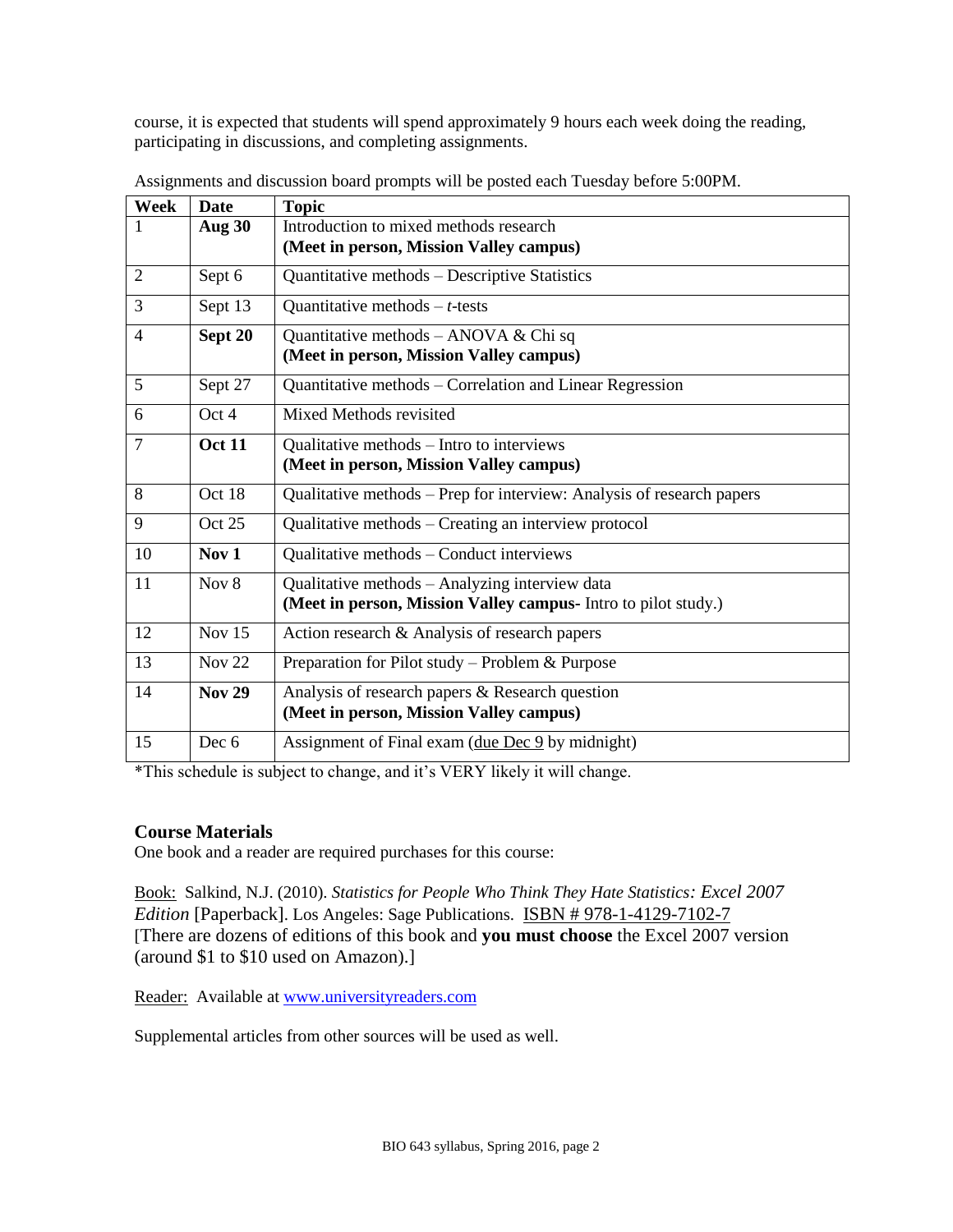course, it is expected that students will spend approximately 9 hours each week doing the reading, participating in discussions, and completing assignments.

| Week | <b>Date</b>   | <b>Topic</b>                                                          |  |  |
|------|---------------|-----------------------------------------------------------------------|--|--|
|      | Aug 30        | Introduction to mixed methods research                                |  |  |
|      |               | (Meet in person, Mission Valley campus)                               |  |  |
| 2    | Sept 6        | Quantitative methods – Descriptive Statistics                         |  |  |
| 3    | Sept 13       | Quantitative methods $-t$ -tests                                      |  |  |
| 4    | Sept 20       | Quantitative methods – ANOVA & Chi sq                                 |  |  |
|      |               | (Meet in person, Mission Valley campus)                               |  |  |
| 5    | Sept 27       | Quantitative methods – Correlation and Linear Regression              |  |  |
| 6    | Oct 4         | Mixed Methods revisited                                               |  |  |
| 7    | <b>Oct 11</b> | Qualitative methods – Intro to interviews                             |  |  |
|      |               | (Meet in person, Mission Valley campus)                               |  |  |
| 8    | Oct 18        | Qualitative methods – Prep for interview: Analysis of research papers |  |  |
| 9    | Oct 25        | Qualitative methods – Creating an interview protocol                  |  |  |
| 10   | Nov $1$       | Qualitative methods - Conduct interviews                              |  |  |
| 11   | Nov $8$       | Qualitative methods - Analyzing interview data                        |  |  |
|      |               | (Meet in person, Mission Valley campus- Intro to pilot study.)        |  |  |
| 12   | Nov $15$      | Action research & Analysis of research papers                         |  |  |
| 13   | Nov $22$      | Preparation for Pilot study – Problem & Purpose                       |  |  |
| 14   | <b>Nov 29</b> | Analysis of research papers & Research question                       |  |  |
|      |               | (Meet in person, Mission Valley campus)                               |  |  |
| 15   | Dec 6         | Assignment of Final exam (due Dec 9 by midnight)                      |  |  |

Assignments and discussion board prompts will be posted each Tuesday before 5:00PM.

\*This schedule is subject to change, and it's VERY likely it will change.

## **Course Materials**

One book and a reader are required purchases for this course:

Book: Salkind, N.J. (2010). *Statistics for People Who Think They Hate Statistics: Excel 2007 Edition* [Paperback]. Los Angeles: Sage Publications. ISBN # 978-1-4129-7102-7 [There are dozens of editions of this book and **you must choose** the Excel 2007 version (around \$1 to \$10 used on Amazon).]

Reader: Available at [www.universityreaders.com](http://www.universityreaders.com/)

Supplemental articles from other sources will be used as well.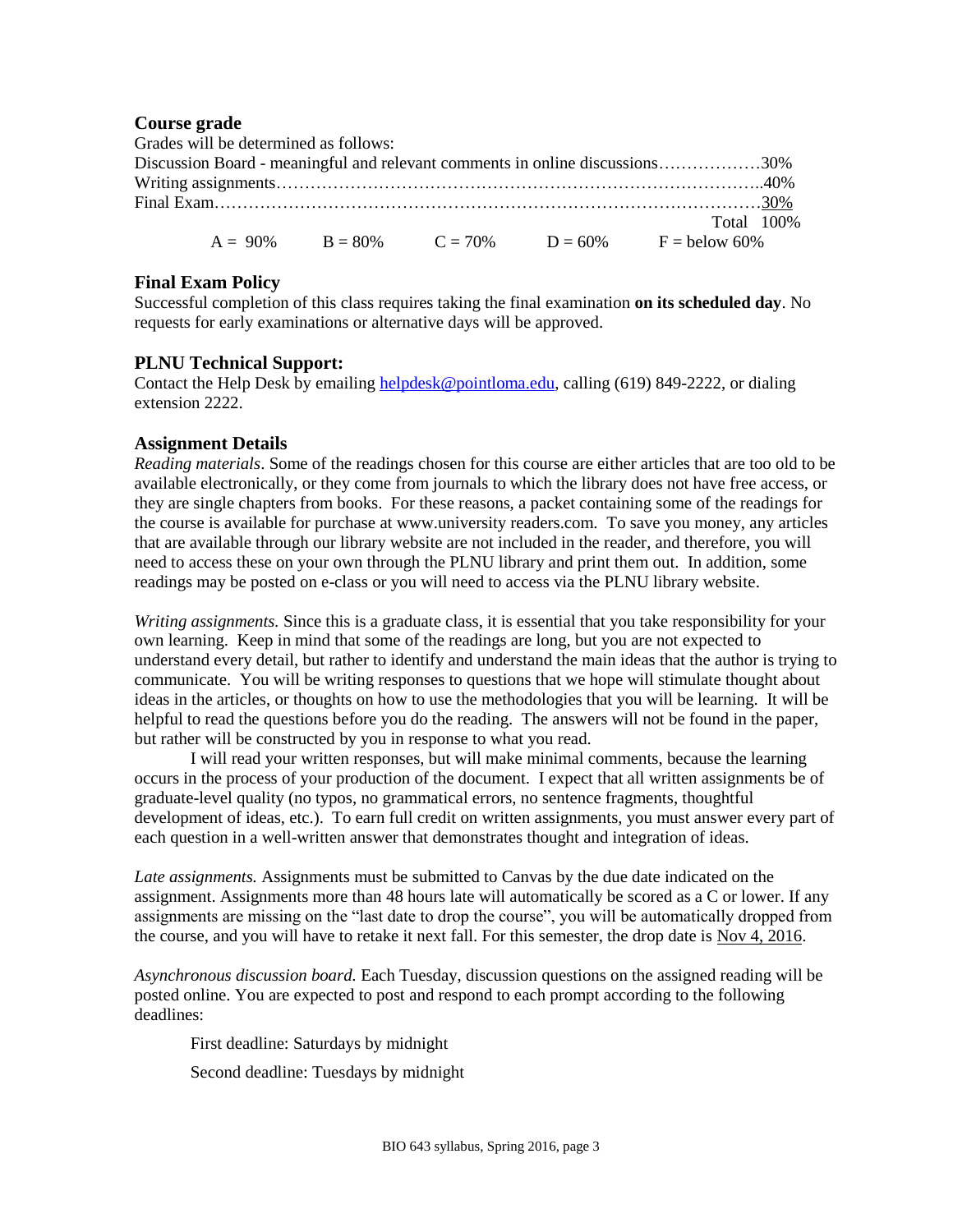#### **Course grade**

|                                                                              | Grades will be determined as follows: |  |  |  |                                                             |  |
|------------------------------------------------------------------------------|---------------------------------------|--|--|--|-------------------------------------------------------------|--|
| Discussion Board - meaningful and relevant comments in online discussions30% |                                       |  |  |  |                                                             |  |
|                                                                              |                                       |  |  |  |                                                             |  |
|                                                                              |                                       |  |  |  |                                                             |  |
|                                                                              |                                       |  |  |  | Total 100%                                                  |  |
|                                                                              |                                       |  |  |  | $A = 90\%$ $B = 80\%$ $C = 70\%$ $D = 60\%$ $F =$ below 60% |  |

#### **Final Exam Policy**

Successful completion of this class requires taking the final examination **on its scheduled day**. No requests for early examinations or alternative days will be approved.

#### **PLNU Technical Support:**

Contact the Help Desk by emailing [helpdesk@pointloma.edu,](mailto:helpdesk@pointloma.edu) calling (619) 849-2222, or dialing extension 2222.

#### **Assignment Details**

*Reading materials*. Some of the readings chosen for this course are either articles that are too old to be available electronically, or they come from journals to which the library does not have free access, or they are single chapters from books. For these reasons, a packet containing some of the readings for the course is available for purchase at www.university readers.com. To save you money, any articles that are available through our library website are not included in the reader, and therefore, you will need to access these on your own through the PLNU library and print them out. In addition, some readings may be posted on e-class or you will need to access via the PLNU library website.

*Writing assignments.* Since this is a graduate class, it is essential that you take responsibility for your own learning. Keep in mind that some of the readings are long, but you are not expected to understand every detail, but rather to identify and understand the main ideas that the author is trying to communicate. You will be writing responses to questions that we hope will stimulate thought about ideas in the articles, or thoughts on how to use the methodologies that you will be learning. It will be helpful to read the questions before you do the reading. The answers will not be found in the paper, but rather will be constructed by you in response to what you read.

I will read your written responses, but will make minimal comments, because the learning occurs in the process of your production of the document. I expect that all written assignments be of graduate-level quality (no typos, no grammatical errors, no sentence fragments, thoughtful development of ideas, etc.). To earn full credit on written assignments, you must answer every part of each question in a well-written answer that demonstrates thought and integration of ideas.

*Late assignments.* Assignments must be submitted to Canvas by the due date indicated on the assignment. Assignments more than 48 hours late will automatically be scored as a C or lower. If any assignments are missing on the "last date to drop the course", you will be automatically dropped from the course, and you will have to retake it next fall. For this semester, the drop date is Nov 4, 2016.

*Asynchronous discussion board.* Each Tuesday, discussion questions on the assigned reading will be posted online. You are expected to post and respond to each prompt according to the following deadlines:

First deadline: Saturdays by midnight

Second deadline: Tuesdays by midnight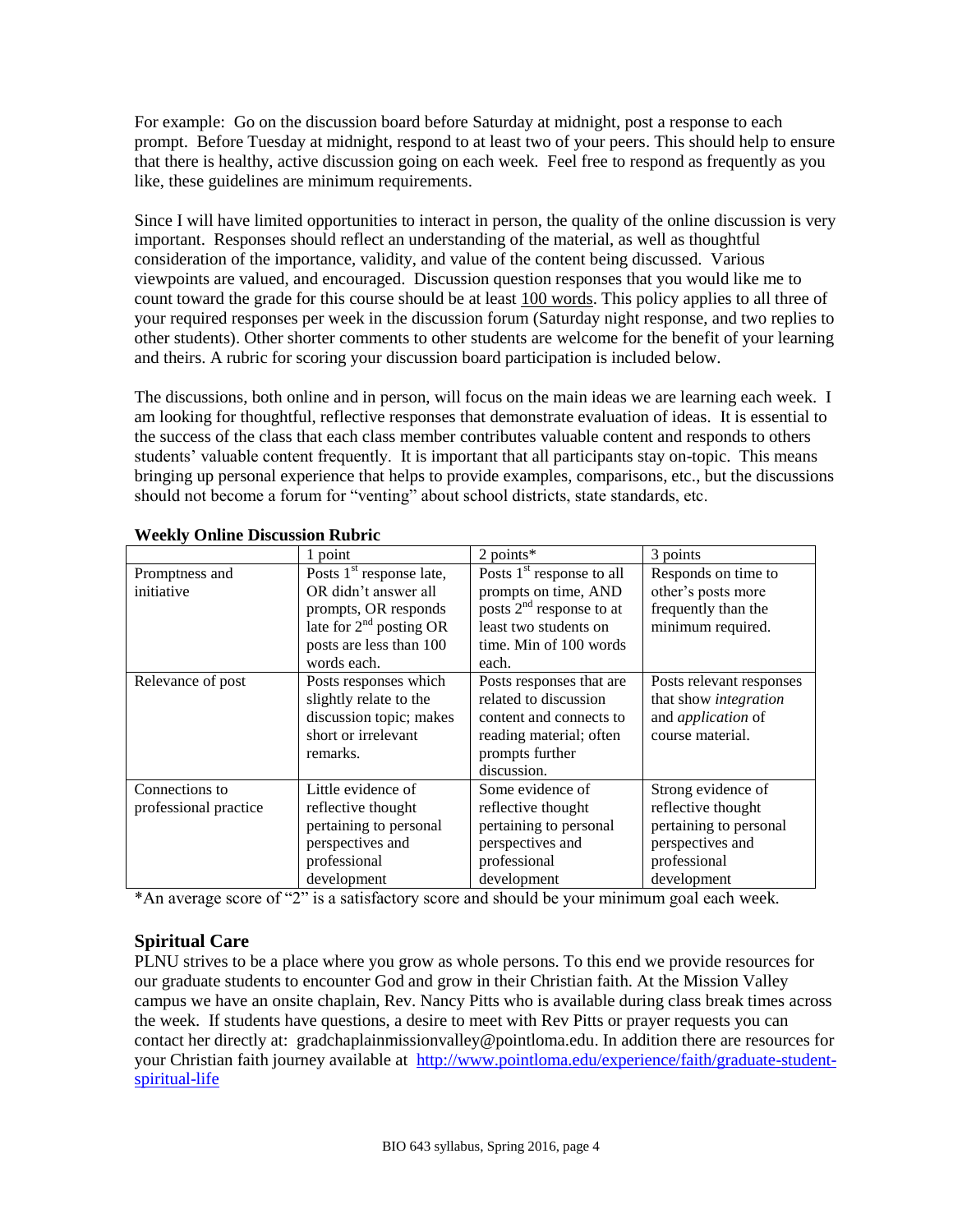For example: Go on the discussion board before Saturday at midnight, post a response to each prompt. Before Tuesday at midnight, respond to at least two of your peers. This should help to ensure that there is healthy, active discussion going on each week. Feel free to respond as frequently as you like, these guidelines are minimum requirements.

Since I will have limited opportunities to interact in person, the quality of the online discussion is very important. Responses should reflect an understanding of the material, as well as thoughtful consideration of the importance, validity, and value of the content being discussed. Various viewpoints are valued, and encouraged. Discussion question responses that you would like me to count toward the grade for this course should be at least 100 words. This policy applies to all three of your required responses per week in the discussion forum (Saturday night response, and two replies to other students). Other shorter comments to other students are welcome for the benefit of your learning and theirs. A rubric for scoring your discussion board participation is included below.

The discussions, both online and in person, will focus on the main ideas we are learning each week. I am looking for thoughtful, reflective responses that demonstrate evaluation of ideas. It is essential to the success of the class that each class member contributes valuable content and responds to others students' valuable content frequently. It is important that all participants stay on-topic. This means bringing up personal experience that helps to provide examples, comparisons, etc., but the discussions should not become a forum for "venting" about school districts, state standards, etc.

|                       | 1 point                             | $2$ points*                 | 3 points                  |
|-----------------------|-------------------------------------|-----------------------------|---------------------------|
| Promptness and        | Posts $1st$ response late,          | Posts $1st$ response to all | Responds on time to       |
| initiative            | OR didn't answer all                | prompts on time, AND        | other's posts more        |
|                       | prompts, OR responds                | posts $2nd$ response to at  | frequently than the       |
|                       | late for 2 <sup>nd</sup> posting OR | least two students on       | minimum required.         |
|                       | posts are less than 100             | time. Min of 100 words      |                           |
|                       | words each.                         | each.                       |                           |
| Relevance of post     | Posts responses which               | Posts responses that are    | Posts relevant responses  |
|                       | slightly relate to the              | related to discussion       | that show integration     |
|                       | discussion topic; makes             | content and connects to     | and <i>application</i> of |
|                       | short or irrelevant                 | reading material; often     | course material.          |
|                       | remarks.                            | prompts further             |                           |
|                       |                                     | discussion.                 |                           |
| Connections to        | Little evidence of                  | Some evidence of            | Strong evidence of        |
| professional practice | reflective thought                  | reflective thought          | reflective thought        |
|                       | pertaining to personal              | pertaining to personal      | pertaining to personal    |
|                       | perspectives and                    | perspectives and            | perspectives and          |
|                       | professional                        | professional                | professional              |
|                       | development                         | development                 | development               |

#### **Weekly Online Discussion Rubric**

\*An average score of "2" is a satisfactory score and should be your minimum goal each week.

## **Spiritual Care**

PLNU strives to be a place where you grow as whole persons. To this end we provide resources for our graduate students to encounter God and grow in their Christian faith. At the Mission Valley campus we have an onsite chaplain, Rev. Nancy Pitts who is available during class break times across the week. If students have questions, a desire to meet with Rev Pitts or prayer requests you can contact her directly at: [gradchaplainmissionvalley@pointloma.edu.](mailto:gradchaplainmissionvalley@pointloma.edu) In addition there are resources for your Christian faith journey available at [http://www.pointloma.edu/experience/faith/graduate-student](http://www.pointloma.edu/experience/faith/graduate-student-spiritual-life)[spiritual-life](http://www.pointloma.edu/experience/faith/graduate-student-spiritual-life)